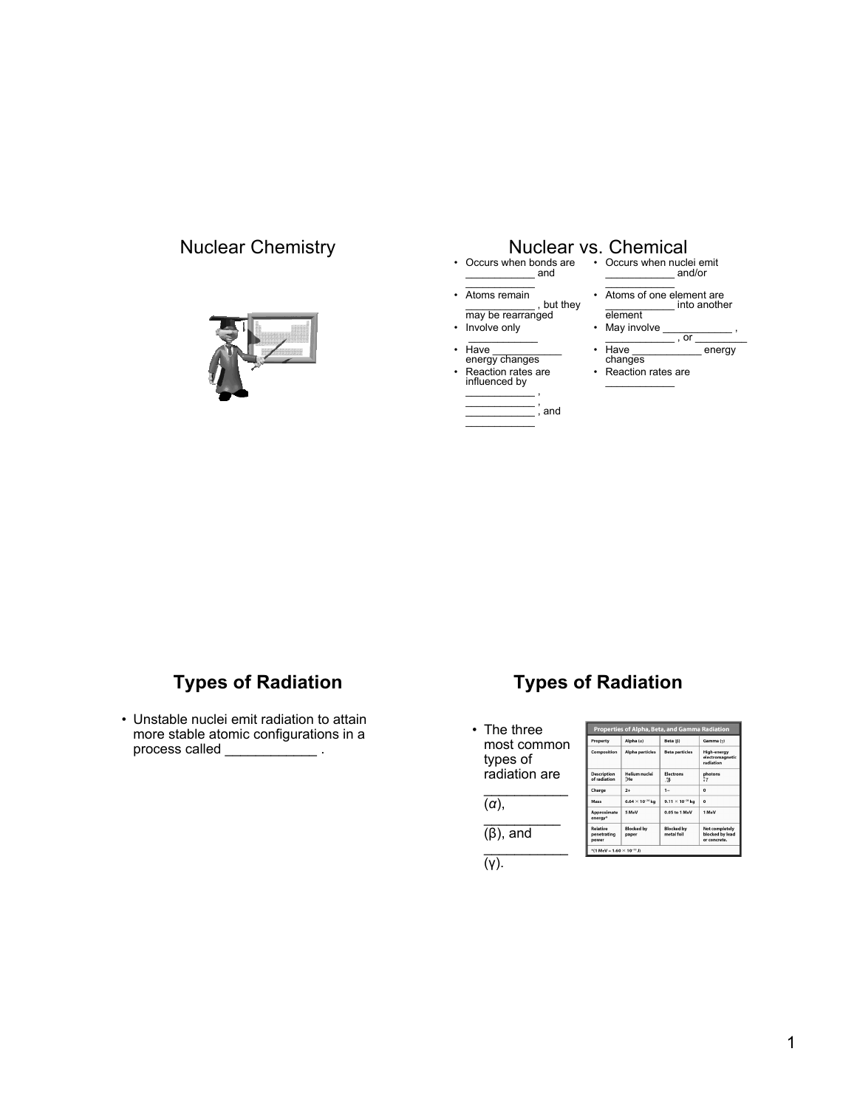

## Nuclear Chemistry Nuclear vs. Chemical

- Occurs when bonds are Occurs when nuclei emit \_\_\_\_\_\_\_\_\_\_\_\_ and  $\mathcal{L}$  , we have the set of  $\mathcal{L}$
- Atoms remain , but they may be rearranged

 $\frac{1}{2}$ , and

- Involve only  $\frac{1}{2}$
- Have \_\_\_\_\_\_\_\_\_\_\_\_\_<br>energy changes
- Reaction rates are influenced by \_\_\_\_\_\_\_\_\_\_\_\_ ,  $\overline{\phantom{a}}$  , , , , , , , , , , , , , , , , ,

 $\overline{\phantom{a}}$ 

- \_\_\_\_\_\_\_\_\_\_\_\_ and/or  $\sim$
- Atoms of one element are \_\_\_\_\_\_\_\_\_\_\_\_ into another element
- May involve  $\frac{1}{\sqrt{2\pi}}$  , or  $\overline{\phantom{a}}$ , or  $\overline{\phantom{a}}$
- Have \_\_\_\_\_\_\_\_\_\_\_\_ energy changes
- Reaction rates are  $\mathcal{L}_\text{max}$  and  $\mathcal{L}_\text{max}$

# **Types of Radiation**

• Unstable nuclei emit radiation to attain more stable atomic configurations in a process called

# **Types of Radiation**

• The three most common types of radiation are  $\frac{1}{2}$ (*α*),

> $\frac{1}{2}$ (β), and  $\frac{1}{2}$

| Properties of Alpha, Beta, and Gamma Radiation |                              |                                 |                                                   |
|------------------------------------------------|------------------------------|---------------------------------|---------------------------------------------------|
| Property                                       | Alpha $(a)$                  | Beta (B)                        | Gamma (y)                                         |
| Composition                                    | <b>Alpha particles</b>       | <b>Beta particles</b>           | High-energy<br>electromagnetic<br>radiation       |
| <b>Description</b><br>of radiation             | <b>Helium</b> nuclei<br>\$He | <b>Electrons</b><br>∴В          | photons<br>ÎΥ.                                    |
| Charge                                         | $2+$                         | $1 -$                           | $\Omega$                                          |
| Mass                                           | $6.64 \times 10^{-24}$ kg    | $9.11 \times 10^{-20}$ kg       | $\Omega$                                          |
| <b>Approximate</b><br>energy <sup>*</sup>      | 5 MeV                        | 0.05 to 1 MeV                   | 1 MeV                                             |
| <b>Relative</b><br>penetrating<br>power        | <b>Blocked by</b><br>paper   | <b>Blocked by</b><br>metal foil | Not completely<br>blocked by lead<br>or concrete. |

 $\overline{(y)}$ .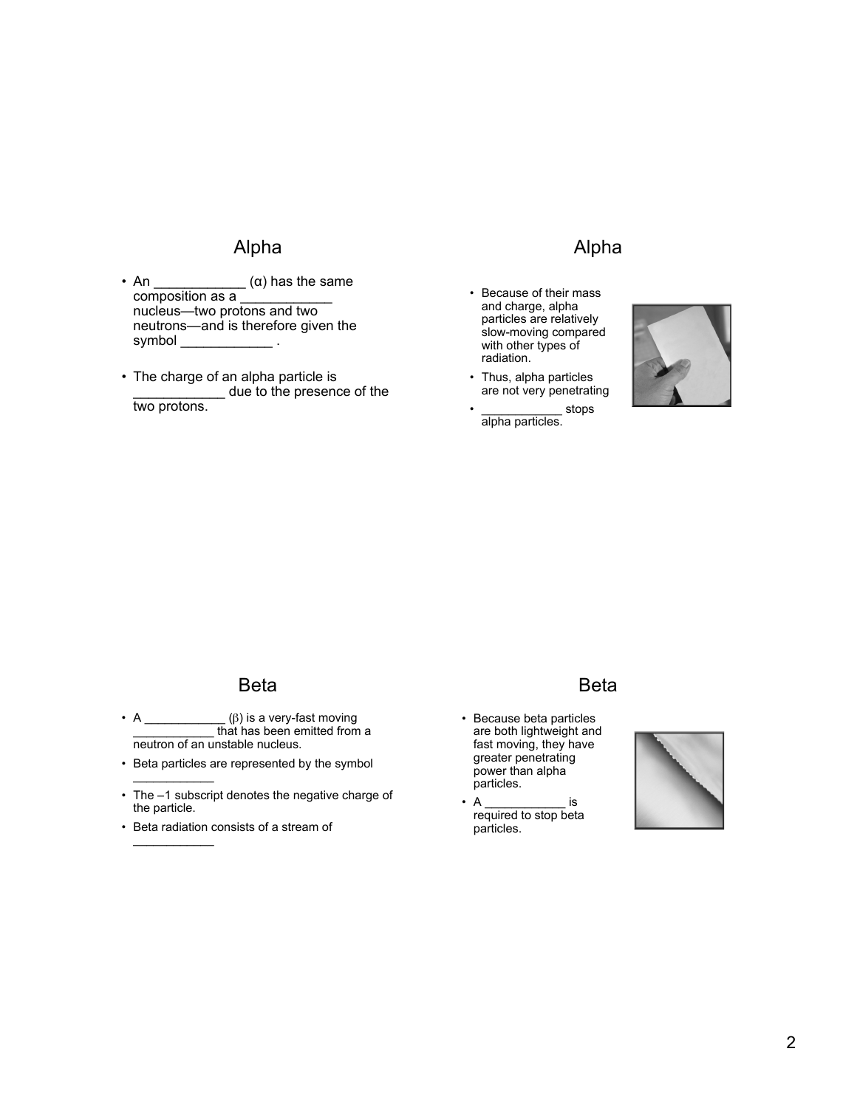## Alpha

- An  $\frac{\alpha}{\alpha}$  has the same composition as a nucleus—two protons and two neutrons—and is therefore given the symbol the symbol that  $\sim$
- The charge of an alpha particle is \_\_\_\_\_\_\_\_\_\_\_\_ due to the presence of the two protons.

#### Alpha

- Because of their mass and charge, alpha particles are relatively slow-moving compared with other types of radiation.
- Thus, alpha particles are not very penetrating
- stops alpha particles.



## Beta

- A  $\rule{1em}{0}$  a very-fast moving **EXECUTE:** that has been emitted from a neutron of an unstable nucleus.
- Beta particles are represented by the symbol  $\overline{\phantom{a}}$
- The –1 subscript denotes the negative charge of the particle.
- Beta radiation consists of a stream of  $\overline{\phantom{a}}$

#### Beta

- Because beta particles are both lightweight and fast moving, they have greater penetrating power than alpha particles.
- A  $\qquad \qquad$  is required to stop beta particles.

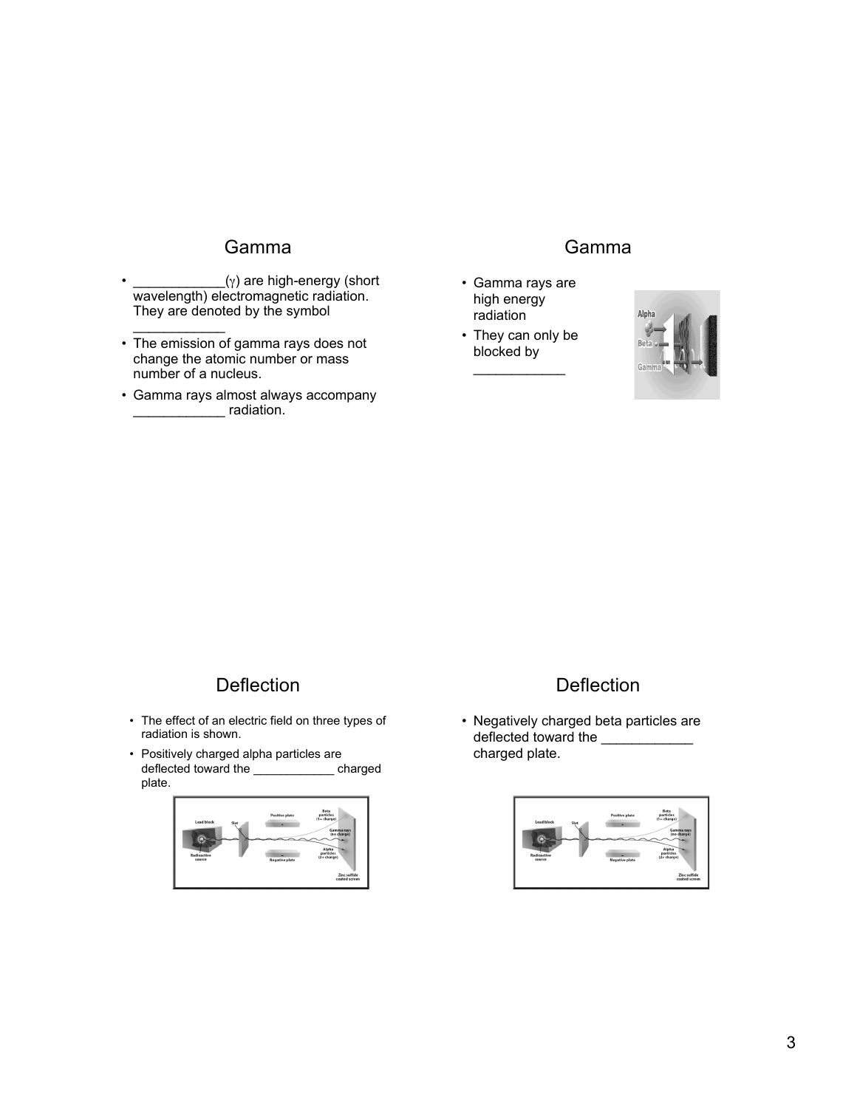## Gamma

- $\_\_\_\_\_\_\_\_\_\_\_\_\_\_$  are high-energy (short wavelength) electromagnetic radiation. They are denoted by the symbol  $\frac{1}{2}$
- The emission of gamma rays does not change the atomic number or mass number of a nucleus.
- Gamma rays almost always accompany denotes a radiation.

#### Gamma

- Gamma rays are high energy radiation
- They can only be blocked by  $\mathcal{L}$  . The set of the set of the set of the set of the set of the set of the set of the set of the set of the set of the set of the set of the set of the set of the set of the set of the set of the set of the set of t



## Deflection

- The effect of an electric field on three types of radiation is shown.
- Positively charged alpha particles are deflected toward the \_\_\_\_\_\_\_\_\_\_\_\_ charged plate.



## **Deflection**

• Negatively charged beta particles are deflected toward the charged plate.

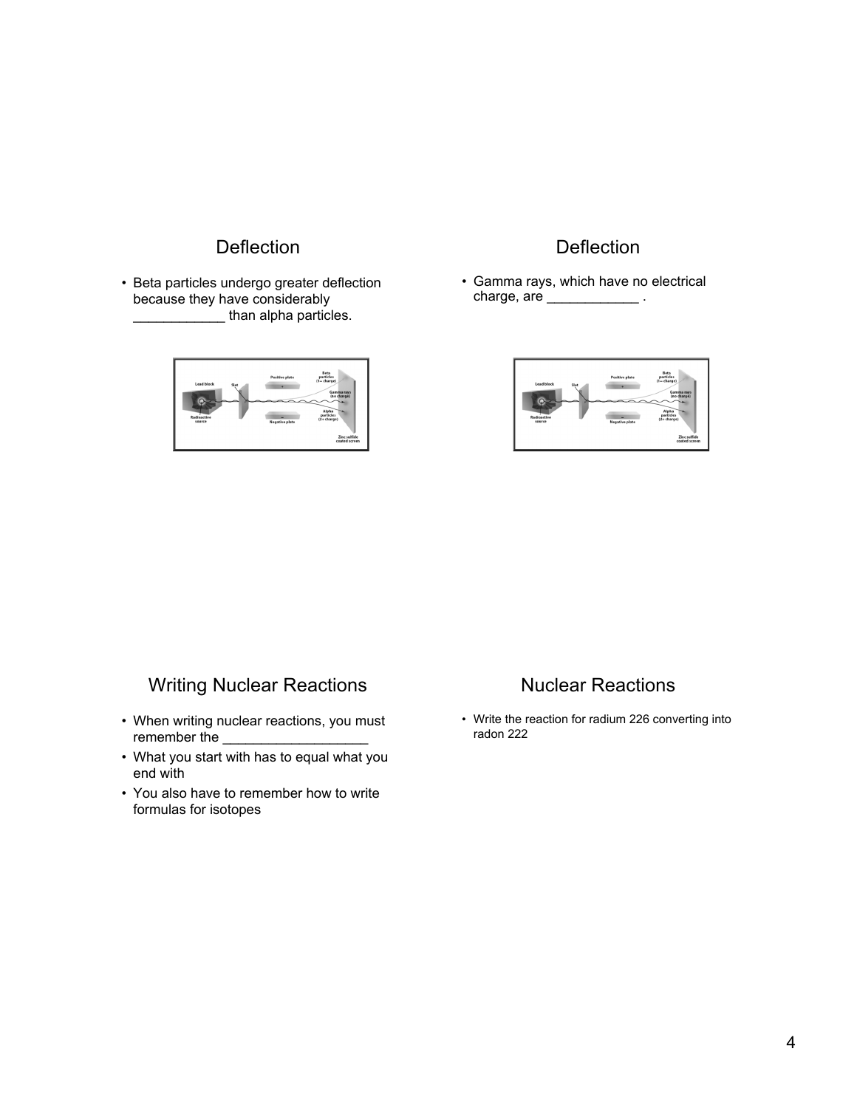# **Deflection**

• Beta particles undergo greater deflection because they have considerably **EXECUTE:** than alpha particles.



#### **Deflection**

• Gamma rays, which have no electrical charge, are \_\_\_\_\_\_\_\_\_\_\_\_\_\_\_.



## Writing Nuclear Reactions

- When writing nuclear reactions, you must remember the
- What you start with has to equal what you end with
- You also have to remember how to write formulas for isotopes

## Nuclear Reactions

• Write the reaction for radium 226 converting into radon 222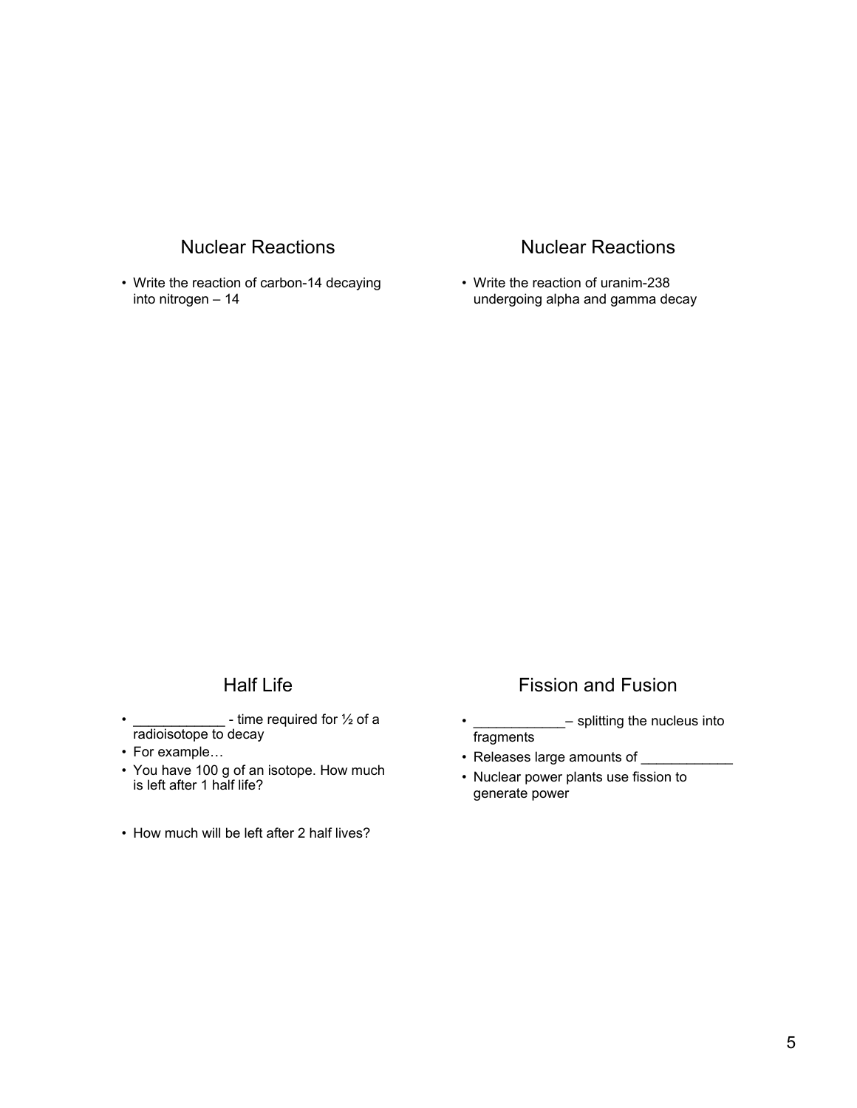## Nuclear Reactions

• Write the reaction of carbon-14 decaying into nitrogen – 14

## Nuclear Reactions

• Write the reaction of uranim-238 undergoing alpha and gamma decay

## Half Life

- $\cdot$  \_\_\_\_\_\_\_\_\_\_\_\_\_\_\_\_\_ time required for  $\frac{1}{2}$  of a radioisotope to decay
- For example…
- You have 100 g of an isotope. How much is left after 1 half life?
- How much will be left after 2 half lives?

## Fission and Fusion

- <sub>---</sub>- splitting the nucleus into fragments
- Releases large amounts of \_\_\_\_\_\_\_\_\_\_\_\_\_
- Nuclear power plants use fission to generate power